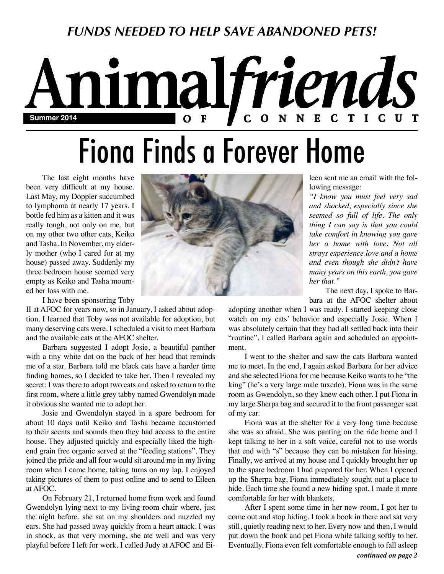## *FUNDS NEEDED TO HELP SAVE ABANDONED PETS!*

## nimalfriends N N E C C T I C U T  $\mathbf C$ **Summer 2014** O

# Fiona Finds a Forever Home

The last eight months have been very difficult at my house. Last May, my Doppler succumbed to lymphoma at nearly 17 years. I bottle fed him as a kitten and it was really tough, not only on me, but on my other two other cats, Keiko and Tasha. In November, my elderly mother (who I cared for at my house) passed away. Suddenly my three bedroom house seemed very empty as Keiko and Tasha mourned her loss with me.

I have been sponsoring Toby

II at AFOC for years now, so in January, I asked about adoption. I learned that Toby was not available for adoption, but many deserving cats were. I scheduled a visit to meet Barbara and the available cats at the AFOC shelter.

Barbara suggested I adopt Josie, a beautiful panther with a tiny white dot on the back of her head that reminds me of a star. Barbara told me black cats have a harder time finding homes, so I decided to take her. Then I revealed my secret: I was there to adopt two cats and asked to return to the first room, where a little grey tabby named Gwendolyn made it obvious she wanted me to adopt her.

Josie and Gwendolyn stayed in a spare bedroom for about 10 days until Keiko and Tasha became accustomed to their scents and sounds then they had access to the entire house. They adjusted quickly and especially liked the highend grain free organic served at the "feeding stations". They joined the pride and all four would sit around me in my living room when I came home, taking turns on my lap. I enjoyed taking pictures of them to post online and to send to Eileen at AFOC.

On February 21, I returned home from work and found Gwendolyn lying next to my living room chair where, just the night before, she sat on my shoulders and nuzzled my ears. She had passed away quickly from a heart attack. I was in shock, as that very morning, she ate well and was very playful before I left for work. I called Judy at AFOC and Ei-



leen sent me an email with the following message:

*"I know you must feel very sad and shocked, especially since she seemed so full of life. The only thing I can say is that you could take comfort in knowing you gave her a home with love. Not all strays experience love and a home and even though she didn't have many years on this earth, you gave her that."*

The next day, I spoke to Barbara at the AFOC shelter about

adopting another when I was ready. I started keeping close watch on my cats' behavior and especially Josie. When I was absolutely certain that they had all settled back into their "routine", I called Barbara again and scheduled an appointment.

I went to the shelter and saw the cats Barbara wanted me to meet. In the end, I again asked Barbara for her advice and she selected Fiona for me because Keiko wants to be "the king" (he's a very large male tuxedo). Fiona was in the same room as Gwendolyn, so they knew each other. I put Fiona in my large Sherpa bag and secured it to the front passenger seat of my car.

Fiona was at the shelter for a very long time because she was so afraid. She was panting on the ride home and I kept talking to her in a soft voice, careful not to use words that end with "s" because they can be mistaken for hissing. Finally, we arrived at my house and I quickly brought her up to the spare bedroom I had prepared for her. When I opened up the Sherpa bag, Fiona immediately sought out a place to hide. Each time she found a new hiding spot, I made it more comfortable for her with blankets.

*continued on page 2* After I spent some time in her new room, I got her to come out and stop hiding. I took a book in there and sat very still, quietly reading next to her. Every now and then, I would put down the book and pet Fiona while talking softly to her. Eventually, Fiona even felt comfortable enough to fall asleep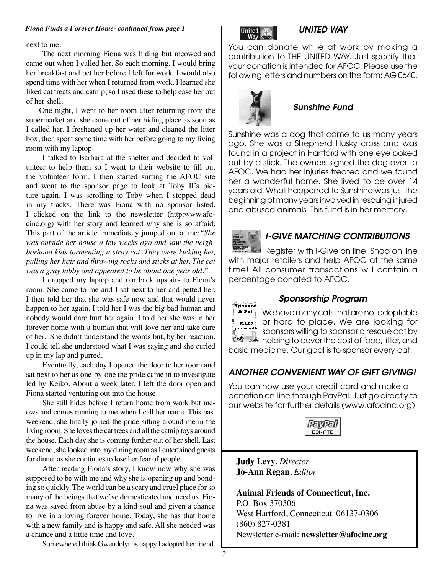#### *Fiona Finds a Forever Home- continued from page 1*

next to me.

The next morning Fiona was hiding but meowed and came out when I called her. So each morning, I would bring her breakfast and pet her before I left for work. I would also spend time with her when I returned from work. I learned she liked cat treats and catnip, so I used these to help ease her out of her shell.

One night, I went to her room after returning from the supermarket and she came out of her hiding place as soon as I called her. I freshened up her water and cleaned the litter box, then spent some time with her before going to my living room with my laptop.

I talked to Barbara at the shelter and decided to volunteer to help them so I went to their website to fill out the volunteer form. I then started surfing the AFOC site and went to the sponsor page to look at Toby II's picture again. I was scrolling to Toby when I stopped dead in my tracks. There was Fiona with no sponsor listed. I clicked on the link to the newsletter (http:www.afocinc.org) with her story and learned why she is so afraid. This part of the article immediately jumped out at me:*"She was outside her house a few weeks ago and saw the neighborhood kids tormenting a stray cat. They were kicking her, pulling her hair and throwing rocks and sticks at her. The cat was a gray tabby and appeared to be about one year old."*

I dropped my laptop and ran back upstairs to Fiona's room. She came to me and I sat next to her and petted her. I then told her that she was safe now and that would never happen to her again. I told her I was the big bad human and nobody would dare hurt her again. I told her she was in her forever home with a human that will love her and take care of her. She didn't understand the words but, by her reaction, I could tell she understood what I was saying and she curled up in my lap and purred.

Eventually, each day I opened the door to her room and sat next to her as one-by-one the pride came in to investigate led by Keiko. About a week later, I left the door open and Fiona started venturing out into the house.

She still hides before I return home from work but meows and comes running to me when I call her name. This past weekend, she finally joined the pride sitting around me in the living room. She loves the cat trees and all the catnip toys around the house. Each day she is coming further out of her shell. Last weekend, she looked into my dining room as I entertained guests for dinner as she continues to lose her fear of people.

After reading Fiona's story, I know now why she was supposed to be with me and why she is opening up and bonding so quickly. The world can be a scary and cruel place for so many of the beings that we've domesticated and need us. Fiona was saved from abuse by a kind soul and given a chance to live in a loving forever home. Today, she has that home with a new family and is happy and safe. All she needed was a chance and a little time and love.

Somewhere I think Gwendolyn is happy I adopted her friend.



#### *UNITED WAY*

You can donate while at work by making a contribution to THE UNITED WAY. Just specify that your donation is intended for AFOC. Please use the following letters and numbers on the form: AG 0640.



#### *Sunshine Fund*

Sunshine was a dog that came to us many years ago. She was a Shepherd Husky cross and was found in a project in Hartford with one eye poked out by a stick. The owners signed the dog over to AFOC. We had her injuries treated and we found her a wonderful home. She lived to be over 14 years old. What happened to Sunshine was just the beginning of many years involved in rescuing injured and abused animals. This fund is in her memory.



#### *I-GIVE MATCHING CONTRIBUTIONS*

**Register with I-Give on line. Shop on line** with major retailers and help AFOC at the same time! All consumer transactions will contain a percentage donated to AFOC.



#### *Sponsorship Program*

We have many cats that are not adoptable or hard to place. We are looking for sponsors willing to sponsor a rescue cat by helping to cover the cost of food, litter, and basic medicine. Our goal is to sponsor every cat.

#### *ANOTHER CONVENIENT WAY OF GIFT GIVING!*

You can now use your credit card and make a donation on-line through PayPal. Just go directly to our website for further details (www.afocinc.org).



**Judy Levy**, *Director* **Jo-Ann Regan**, *Editor*

**Animal Friends of Connecticut, Inc.** P.O. Box 370306 West Hartford, Connecticut 06137-0306 (860) 827-0381 Newsletter e-mail: **newsletter@afocinc.org**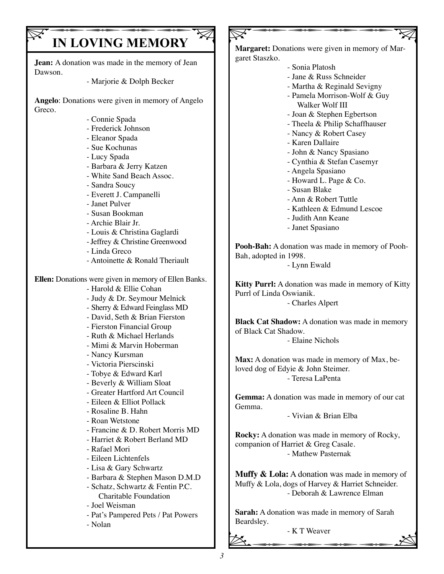# **IN LOVING MEMORY**

**Jean:** A donation was made in the memory of Jean Dawson.

- Marjorie & Dolph Becker

**Angelo**: Donations were given in memory of Angelo Greco.

- Connie Spada
- Frederick Johnson
- Eleanor Spada
- Sue Kochunas
- Lucy Spada
- Barbara & Jerry Katzen
- White Sand Beach Assoc.
- Sandra Soucy
- Everett J. Campanelli
- Janet Pulver
- Susan Bookman
- Archie Blair Jr.
- Louis & Christina Gaglardi
- Jeffrey & Christine Greenwood
- Linda Greco
- Antoinette & Ronald Theriault

**Ellen:** Donations were given in memory of Ellen Banks.

- Harold & Ellie Cohan
- Judy & Dr. Seymour Melnick
- Sherry & Edward Feinglass MD
- David, Seth & Brian Fierston
- Fierston Financial Group
- Ruth & Michael Herlands
- Mimi & Marvin Hoberman
- Nancy Kursman
- Victoria Pierscinski
- Tobye & Edward Karl
- Beverly & William Sloat
- Greater Hartford Art Council
- Eileen & Elliot Pollack
- Rosaline B. Hahn
- Roan Wetstone
- Francine & D. Robert Morris MD
- Harriet & Robert Berland MD
- Rafael Mori
- Eileen Lichtenfels
- Lisa & Gary Schwartz
- Barbara & Stephen Mason D.M.D
- Schatz, Schwartz & Fentin P.C. Charitable Foundation
- Joel Weisman
- Pat's Pampered Pets / Pat Powers
- Nolan

 $\nabla$ **Margaret:** Donations were given in memory of Margaret Staszko.

- Sonia Platosh
- Jane & Russ Schneider
- Martha & Reginald Sevigny
- Pamela Morrison-Wolf & Guy Walker Wolf III
- Joan & Stephen Egbertson
- Theela & Philip Schaffhauser
- Nancy & Robert Casey
- Karen Dallaire
- John & Nancy Spasiano
- Cynthia & Stefan Casemyr
- Angela Spasiano
- Howard L. Page & Co.
- Susan Blake
- Ann & Robert Tuttle
- Kathleen & Edmund Lescoe
- Judith Ann Keane
- Janet Spasiano

**Pooh-Bah:** A donation was made in memory of Pooh-Bah, adopted in 1998.

- Lynn Ewald

**Kitty Purrl:** A donation was made in memory of Kitty Purrl of Linda Oswianik. - Charles Alpert

**Black Cat Shadow:** A donation was made in memory

of Black Cat Shadow. - Elaine Nichols

**Max:** A donation was made in memory of Max, beloved dog of Edyie & John Steimer. - Teresa LaPenta

**Gemma:** A donation was made in memory of our cat Gemma.

- Vivian & Brian Elba

**Rocky:** A donation was made in memory of Rocky, companion of Harriet & Greg Casale. - Mathew Pasternak

**Muffy & Lola:** A donation was made in memory of Muffy & Lola, dogs of Harvey & Harriet Schneider. - Deborah & Lawrence Elman

Sarah: A donation was made in memory of Sarah<br>Beardsley.<br> $\sim$  K T Weaver<br> $\approx$ **Sarah:** A donation was made in memory of Sarah Beardsley.

- K T Weaver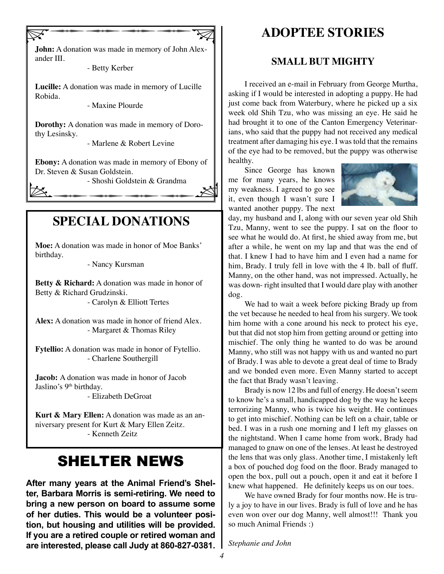$\nabla$ **John:** A donation was made in memory of John Alexander III.

- Betty Kerber

**Lucille:** A donation was made in memory of Lucille Robida.

- Maxine Plourde

**Dorothy:** A donation was made in memory of Dorothy Lesinsky.

- Marlene & Robert Levine

Dr. Steven & Susan Goldstein.<br>
- Shoshi Goldstein & Grandma<br>
- Shoshi Goldstein & Grandma **Ebony:** A donation was made in memory of Ebony of Dr. Steven & Susan Goldstein.

- Shoshi Goldstein & Grandma

## **SPECIAL DONATIONS**

**Moe:** A donation was made in honor of Moe Banks' birthday.

- Nancy Kursman

**Betty & Richard:** A donation was made in honor of Betty & Richard Grudzinski.

- Carolyn & Elliott Tertes

**Alex:** A donation was made in honor of friend Alex. - Margaret & Thomas Riley

**Fytellio:** A donation was made in honor of Fytellio. - Charlene Southergill

**Jacob:** A donation was made in honor of Jacob Jaslino's 9<sup>th</sup> birthday.

- Elizabeth DeGroat

**Kurt & Mary Ellen:** A donation was made as an anniversary present for Kurt & Mary Ellen Zeitz. - Kenneth Zeitz

## SHELTER NEWS

**After many years at the Animal Friend's Shelter, Barbara Morris is semi-retiring. We need to bring a new person on board to assume some of her duties. This would be a volunteer position, but housing and utilities will be provided. If you are a retired couple or retired woman and are interested, please call Judy at 860-827-0381.**

## **ADOPTEE STORIES**

#### **SMALL BUT MIGHTY**

I received an e-mail in February from George Murtha, asking if I would be interested in adopting a puppy. He had just come back from Waterbury, where he picked up a six week old Shih Tzu, who was missing an eye. He said he had brought it to one of the Canton Emergency Veterinarians, who said that the puppy had not received any medical treatment after damaging his eye. I was told that the remains of the eye had to be removed, but the puppy was otherwise healthy.

Since George has known me for many years, he knows my weakness. I agreed to go see it, even though I wasn't sure I wanted another puppy. The next



day, my husband and I, along with our seven year old Shih Tzu, Manny, went to see the puppy. I sat on the floor to see what he would do. At first, he shied away from me, but after a while, he went on my lap and that was the end of that. I knew I had to have him and I even had a name for him, Brady. I truly fell in love with the 4 lb. ball of fluff. Manny, on the other hand, was not impressed. Actually, he was down- right insulted that I would dare play with another dog.

We had to wait a week before picking Brady up from the vet because he needed to heal from his surgery. We took him home with a cone around his neck to protect his eye, but that did not stop him from getting around or getting into mischief. The only thing he wanted to do was be around Manny, who still was not happy with us and wanted no part of Brady. I was able to devote a great deal of time to Brady and we bonded even more. Even Manny started to accept the fact that Brady wasn't leaving.

Brady is now 12 lbs and full of energy. He doesn't seem to know he's a small, handicapped dog by the way he keeps terrorizing Manny, who is twice his weight. He continues to get into mischief. Nothing can be left on a chair, table or bed. I was in a rush one morning and I left my glasses on the nightstand. When I came home from work, Brady had managed to gnaw on one of the lenses. At least he destroyed the lens that was only glass. Another time, I mistakenly left a box of pouched dog food on the floor. Brady managed to open the box, pull out a pouch, open it and eat it before I knew what happened. He definitely keeps us on our toes.

We have owned Brady for four months now. He is truly a joy to have in our lives. Brady is full of love and he has even won over our dog Manny, well almost!!! Thank you so much Animal Friends :)

*Stephanie and John*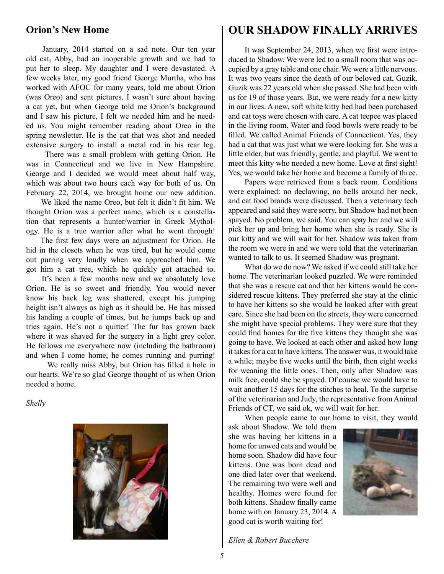#### **Orion's New Home**

January, 2014 started on a sad note. Our ten year old cat, Abby, had an inoperable growth and we had to put her to sleep. My daughter and I were devastated. A few weeks later, my good friend George Murtha, who has worked with AFOC for many years, told me about Orion (was Oreo) and sent pictures. I wasn't sure about having a cat yet, but when George told me Orion's background and I saw his picture, I felt we needed him and he needed us. You might remember reading about Oreo in the spring newsletter. He is the cat that was shot and needed extensive surgery to install a metal rod in his rear leg.

 There was a small problem with getting Orion. He was in Connecticut and we live in New Hampshire. George and I decided we would meet about half way, which was about two hours each way for both of us. On February 22, 2014, we brought home our new addition.

 We liked the name Oreo, but felt it didn't fit him. We thought Orion was a perfect name, which is a constellation that represents a hunter/warrior in Greek Mythology. He is a true warrior after what he went through!

 The first few days were an adjustment for Orion. He hid in the closets when he was tired, but he would come out purring very loudly when we approached him. We got him a cat tree, which he quickly got attached to.

 It's been a few months now and we absolutely love Orion. He is so sweet and friendly. You would never know his back leg was shattered, except his jumping height isn't always as high as it should be. He has missed his landing a couple of times, but he jumps back up and tries again. He's not a quitter! The fur has grown back where it was shaved for the surgery in a light grey color. He follows me everywhere now (including the bathroom) and when I come home, he comes running and purring!

 We really miss Abby, but Orion has filled a hole in our hearts. We're so glad George thought of us when Orion needed a home.

*Shelly*



## **OUR SHADOW FINALLY ARRIVES**

It was September 24, 2013, when we first were introduced to Shadow. We were led to a small room that was occupied by a gray table and one chair. We were a little nervous. It was two years since the death of our beloved cat, Guzik. Guzik was 22 years old when she passed. She had been with us for 19 of those years. But, we were ready for a new kitty in our lives. A new, soft white kitty bed had been purchased and cat toys were chosen with care. A cat teepee was placed in the living room. Water and food bowls were ready to be filled. We called Animal Friends of Connecticut. Yes, they had a cat that was just what we were looking for. She was a little older, but was friendly, gentle, and playful. We went to meet this kitty who needed a new home. Love at first sight! Yes, we would take her home and become a family of three.

Papers were retrieved from a back room. Conditions were explained: no declawing, no bells around her neck, and cat food brands were discussed. Then a veterinary tech appeared and said they were sorry, but Shadow had not been spayed. No problem, we said. You can spay her and we will pick her up and bring her home when she is ready. She is our kitty and we will wait for her. Shadow was taken from the room we were in and we were told that the veterinarian wanted to talk to us. It seemed Shadow was pregnant.

What do we do now? We asked if we could still take her home. The veterinarian looked puzzled. We were reminded that she was a rescue cat and that her kittens would be considered rescue kittens. They preferred she stay at the clinic to have her kittens so she would be looked after with great care. Since she had been on the streets, they were concerned she might have special problems. They were sure that they could find homes for the five kittens they thought she was going to have. We looked at each other and asked how long it takes for a cat to have kittens. The answer was, it would take a while; maybe five weeks until the birth, then eight weeks for weaning the little ones. Then, only after Shadow was milk free, could she be spayed. Of course we would have to wait another 15 days for the stitches to heal. To the surprise of the veterinarian and Judy, the representative from Animal Friends of CT, we said ok, we will wait for her.

When people came to our home to visit, they would

ask about Shadow. We told them she was having her kittens in a home for unwed cats and would be home soon. Shadow did have four kittens. One was born dead and one died later over that weekend. The remaining two were well and healthy. Homes were found for both kittens. Shadow finally came home with on January 23, 2014. A good cat is worth waiting for!



*Ellen & Robert Bucchere*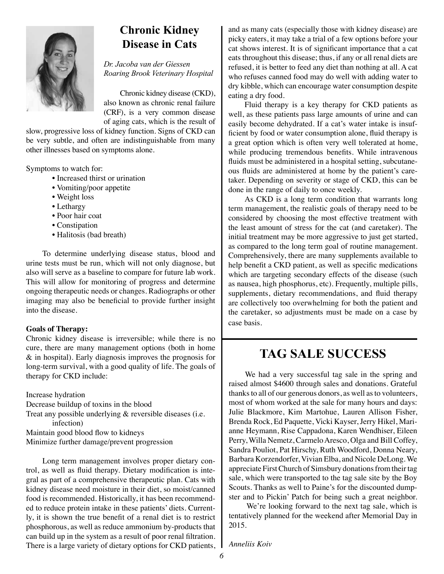

## **Chronic Kidney Disease in Cats**

*Dr. Jacoba van der Giessen Roaring Brook Veterinary Hospital*

Chronic kidney disease (CKD), also known as chronic renal failure (CRF), is a very common disease of aging cats, which is the result of

slow, progressive loss of kidney function. Signs of CKD can be very subtle, and often are indistinguishable from many other illnesses based on symptoms alone.

Symptoms to watch for:

- Increased thirst or urination
- Vomiting/poor appetite
- Weight loss
- Lethargy
- Poor hair coat
- Constipation
- Halitosis (bad breath)

To determine underlying disease status, blood and urine tests must be run, which will not only diagnose, but also will serve as a baseline to compare for future lab work. This will allow for monitoring of progress and determine ongoing therapeutic needs or changes. Radiographs or other imaging may also be beneficial to provide further insight into the disease.

#### **Goals of Therapy:**

Chronic kidney disease is irreversible; while there is no cure, there are many management options (both in home & in hospital). Early diagnosis improves the prognosis for long-term survival, with a good quality of life. The goals of therapy for CKD include:

Increase hydration Decrease buildup of toxins in the blood Treat any possible underlying & reversible diseases (i.e. infection) Maintain good blood flow to kidneys Minimize further damage/prevent progression

Long term management involves proper dietary control, as well as fluid therapy. Dietary modification is integral as part of a comprehensive therapeutic plan. Cats with kidney disease need moisture in their diet, so moist/canned food is recommended. Historically, it has been recommended to reduce protein intake in these patients' diets. Currently, it is shown the true benefit of a renal diet is to restrict phosphorous, as well as reduce ammonium by-products that can build up in the system as a result of poor renal filtration. There is a large variety of dietary options for CKD patients, and as many cats (especially those with kidney disease) are picky eaters, it may take a trial of a few options before your cat shows interest. It is of significant importance that a cat eats throughout this disease; thus, if any or all renal diets are refused, it is better to feed any diet than nothing at all. A cat who refuses canned food may do well with adding water to dry kibble, which can encourage water consumption despite eating a dry food.

Fluid therapy is a key therapy for CKD patients as well, as these patients pass large amounts of urine and can easily become dehydrated. If a cat's water intake is insufficient by food or water consumption alone, fluid therapy is a great option which is often very well tolerated at home, while producing tremendous benefits. While intravenous fluids must be administered in a hospital setting, subcutaneous fluids are administered at home by the patient's caretaker. Depending on severity or stage of CKD, this can be done in the range of daily to once weekly.

As CKD is a long term condition that warrants long term management, the realistic goals of therapy need to be considered by choosing the most effective treatment with the least amount of stress for the cat (and caretaker). The initial treatment may be more aggressive to just get started, as compared to the long term goal of routine management. Comprehensively, there are many supplements available to help benefit a CKD patient, as well as specific medications which are targeting secondary effects of the disease (such as nausea, high phosphorus, etc). Frequently, multiple pills, supplements, dietary recommendations, and fluid therapy are collectively too overwhelming for both the patient and the caretaker, so adjustments must be made on a case by case basis.

## **TAG SALE SUCCESS**

We had a very successful tag sale in the spring and raised almost \$4600 through sales and donations. Grateful thanks to all of our generous donors, as well as to volunteers, most of whom worked at the sale for many hours and days: Julie Blackmore, Kim Martohue, Lauren Allison Fisher, Brenda Rock, Ed Paquette, Vicki Kayser, Jerry Hikel, Marianne Heymann, Rise Cappadona, Karen Wendhiser, Eileen Perry, Willa Nemetz, Carmelo Aresco, Olga and Bill Coffey, Sandra Pouliot, Pat Hirschy, Ruth Woodford, Donna Neary, Barbara Korzendorfer, Vivian Elba, and Nicole DeLong.We appreciate First Church of Simsbury donations from their tag sale, which were transported to the tag sale site by the Boy Scouts. Thanks as well to Paine's for the discounted dumpster and to Pickin' Patch for being such a great neighbor.

 We're looking forward to the next tag sale, which is tentatively planned for the weekend after Memorial Day in 2015.

*Anneliis Koiv*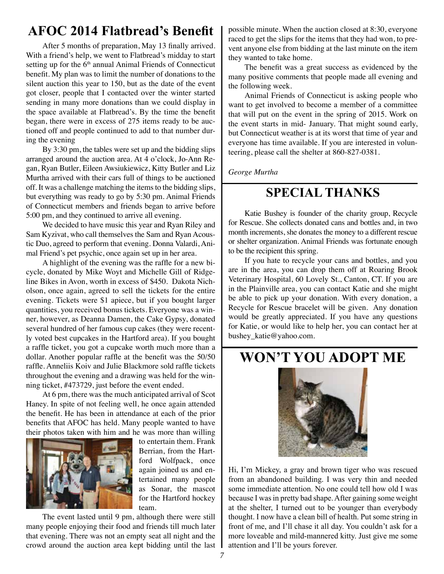## **AFOC 2014 Flatbread's Benefit**

After 5 months of preparation, May 13 finally arrived. With a friend's help, we went to Flatbread's midday to start setting up for the 6<sup>th</sup> annual Animal Friends of Connecticut benefit. My plan was to limit the number of donations to the silent auction this year to 150, but as the date of the event got closer, people that I contacted over the winter started sending in many more donations than we could display in the space available at Flatbread's. By the time the benefit began, there were in excess of 275 items ready to be auctioned off and people continued to add to that number during the evening

By 3:30 pm, the tables were set up and the bidding slips arranged around the auction area. At 4 o'clock, Jo-Ann Regan, Ryan Butler, Eileen Awsiukiewicz, Kitty Butler and Liz Murtha arrived with their cars full of things to be auctioned off. It was a challenge matching the items to the bidding slips, but everything was ready to go by 5:30 pm. Animal Friends of Connecticut members and friends began to arrive before 5:00 pm, and they continued to arrive all evening.

We decided to have music this year and Ryan Riley and Sam Kyzivat, who call themselves the Sam and Ryan Acoustic Duo, agreed to perform that evening. Donna Valardi, Animal Friend's pet psychic, once again set up in her area.

A highlight of the evening was the raffle for a new bicycle, donated by Mike Woyt and Michelle Gill of Ridgeline Bikes in Avon, worth in excess of \$450. Dakota Nicholson, once again, agreed to sell the tickets for the entire evening. Tickets were \$1 apiece, but if you bought larger quantities, you received bonus tickets. Everyone was a winner, however, as Deanna Damen, the Cake Gypsy, donated several hundred of her famous cup cakes (they were recently voted best cupcakes in the Hartford area). If you bought a raffle ticket, you got a cupcake worth much more than a dollar. Another popular raffle at the benefit was the 50/50 raffle. Anneliis Koiv and Julie Blackmore sold raffle tickets throughout the evening and a drawing was held for the winning ticket, #473729, just before the event ended.

At 6 pm, there was the much anticipated arrival of Scot Haney. In spite of not feeling well, he once again attended the benefit. He has been in attendance at each of the prior benefits that AFOC has held. Many people wanted to have their photos taken with him and he was more than willing



to entertain them. Frank Berrian, from the Hartford Wolfpack, once again joined us and entertained many people as Sonar, the mascot for the Hartford hockey team.

The event lasted until 9 pm, although there were still many people enjoying their food and friends till much later that evening. There was not an empty seat all night and the crowd around the auction area kept bidding until the last possible minute. When the auction closed at 8:30, everyone raced to get the slips for the items that they had won, to prevent anyone else from bidding at the last minute on the item they wanted to take home.

The benefit was a great success as evidenced by the many positive comments that people made all evening and the following week.

Animal Friends of Connecticut is asking people who want to get involved to become a member of a committee that will put on the event in the spring of 2015. Work on the event starts in mid- January. That might sound early, but Connecticut weather is at its worst that time of year and everyone has time available. If you are interested in volunteering, please call the shelter at 860-827-0381.

*George Murtha*

## **SPECIAL THANKS**

Katie Bushey is founder of the charity group, Recycle for Rescue. She collects donated cans and bottles and, in two month increments, she donates the money to a different rescue or shelter organization. Animal Friends was fortunate enough to be the recipient this spring.

If you hate to recycle your cans and bottles, and you are in the area, you can drop them off at Roaring Brook Veterinary Hospital, 60 Lovely St., Canton, CT. If you are in the Plainville area, you can contact Katie and she might be able to pick up your donation. With every donation, a Recycle for Rescue bracelet will be given. Any donation would be greatly appreciated. If you have any questions for Katie, or would like to help her, you can contact her at bushey\_katie@yahoo.com.

## **WON'T YOU ADOPT ME**



Hi, I'm Mickey, a gray and brown tiger who was rescued from an abandoned building. I was very thin and needed some immediate attention. No one could tell how old I was because I was in pretty bad shape. After gaining some weight at the shelter, I turned out to be younger than everybody thought. I now have a clean bill of health. Put some string in front of me, and I'll chase it all day. You couldn't ask for a more loveable and mild-mannered kitty. Just give me some attention and I'll be yours forever.